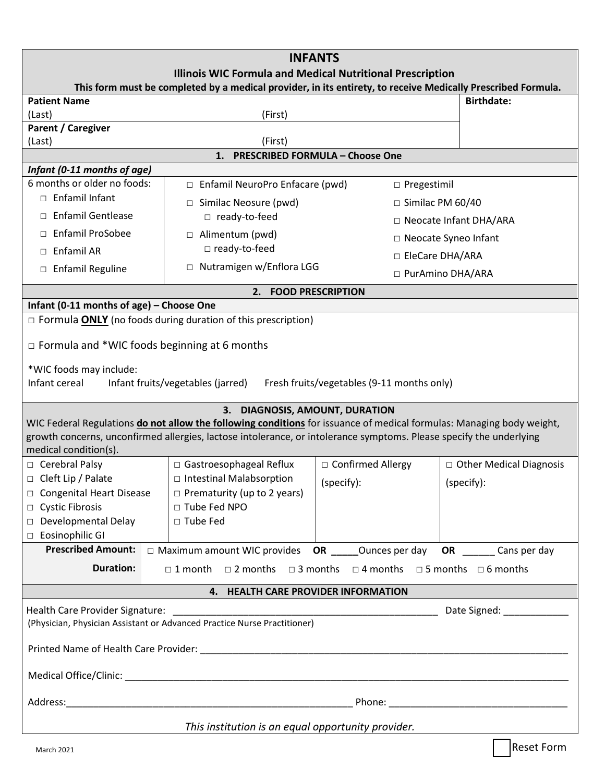| <b>INFANTS</b>                                                                                                                                                                     |                                                                                                  |                         |                           |
|------------------------------------------------------------------------------------------------------------------------------------------------------------------------------------|--------------------------------------------------------------------------------------------------|-------------------------|---------------------------|
| <b>Illinois WIC Formula and Medical Nutritional Prescription</b><br>This form must be completed by a medical provider, in its entirety, to receive Medically Prescribed Formula.   |                                                                                                  |                         |                           |
| <b>Patient Name</b>                                                                                                                                                                |                                                                                                  | <b>Birthdate:</b>       |                           |
| (Last)                                                                                                                                                                             | (First)                                                                                          |                         |                           |
| <b>Parent / Caregiver</b>                                                                                                                                                          |                                                                                                  |                         |                           |
| (Last)                                                                                                                                                                             | (First)                                                                                          |                         |                           |
| <b>PRESCRIBED FORMULA - Choose One</b><br>1.<br>Infant (0-11 months of age)                                                                                                        |                                                                                                  |                         |                           |
| 6 months or older no foods:                                                                                                                                                        | □ Enfamil NeuroPro Enfacare (pwd)                                                                | □ Pregestimil           |                           |
| □ Enfamil Infant                                                                                                                                                                   |                                                                                                  |                         |                           |
|                                                                                                                                                                                    | □ Similac Neosure (pwd)                                                                          | $\Box$ Similac PM 60/40 |                           |
| □ Enfamil Gentlease                                                                                                                                                                | □ ready-to-feed                                                                                  |                         | □ Neocate Infant DHA/ARA  |
| □ Enfamil ProSobee                                                                                                                                                                 | □ Alimentum (pwd)                                                                                |                         | □ Neocate Syneo Infant    |
| $\Box$ Enfamil AR                                                                                                                                                                  | □ ready-to-feed                                                                                  | □ EleCare DHA/ARA       |                           |
| □ Enfamil Reguline                                                                                                                                                                 | □ Nutramigen w/Enflora LGG                                                                       |                         | □ PurAmino DHA/ARA        |
| <b>FOOD PRESCRIPTION</b><br>2.                                                                                                                                                     |                                                                                                  |                         |                           |
| Infant (0-11 months of age) - Choose One                                                                                                                                           |                                                                                                  |                         |                           |
| $\Box$ Formula <b>ONLY</b> (no foods during duration of this prescription)                                                                                                         |                                                                                                  |                         |                           |
| $\Box$ Formula and *WIC foods beginning at 6 months<br>*WIC foods may include:<br>Infant cereal<br>Infant fruits/vegetables (jarred)<br>Fresh fruits/vegetables (9-11 months only) |                                                                                                  |                         |                           |
|                                                                                                                                                                                    |                                                                                                  |                         |                           |
| 3. DIAGNOSIS, AMOUNT, DURATION<br>WIC Federal Regulations do not allow the following conditions for issuance of medical formulas: Managing body weight,                            |                                                                                                  |                         |                           |
| growth concerns, unconfirmed allergies, lactose intolerance, or intolerance symptoms. Please specify the underlying                                                                |                                                                                                  |                         |                           |
| medical condition(s).                                                                                                                                                              |                                                                                                  |                         |                           |
| □ Cerebral Palsy                                                                                                                                                                   | □ Gastroesophageal Reflux                                                                        | □ Confirmed Allergy     | □ Other Medical Diagnosis |
| □ Cleft Lip / Palate                                                                                                                                                               | □ Intestinal Malabsorption                                                                       | (specify):              | (specify):                |
| □ Congenital Heart Disease                                                                                                                                                         | $\Box$ Prematurity (up to 2 years)                                                               |                         |                           |
| □ Cystic Fibrosis                                                                                                                                                                  | □ Tube Fed NPO                                                                                   |                         |                           |
| Developmental Delay                                                                                                                                                                | □ Tube Fed                                                                                       |                         |                           |
| □ Eosinophilic GI                                                                                                                                                                  |                                                                                                  |                         |                           |
| <b>Prescribed Amount:</b>                                                                                                                                                          | $\Box$ Maximum amount WIC provides <b>OR</b> ______Ounces per day <b>OR</b> _______ Cans per day |                         |                           |
| <b>Duration:</b><br>$\Box$ 1 month $\Box$ 2 months $\Box$ 3 months $\Box$ 4 months $\Box$ 5 months $\Box$ 6 months                                                                 |                                                                                                  |                         |                           |
| 4. HEALTH CARE PROVIDER INFORMATION                                                                                                                                                |                                                                                                  |                         |                           |
|                                                                                                                                                                                    |                                                                                                  |                         |                           |
| (Physician, Physician Assistant or Advanced Practice Nurse Practitioner)                                                                                                           |                                                                                                  |                         |                           |
|                                                                                                                                                                                    |                                                                                                  |                         |                           |
|                                                                                                                                                                                    |                                                                                                  |                         |                           |
|                                                                                                                                                                                    |                                                                                                  |                         |                           |
| This institution is an equal opportunity provider.                                                                                                                                 |                                                                                                  |                         |                           |
| <b>March 2021</b>                                                                                                                                                                  |                                                                                                  |                         | Reset Form                |